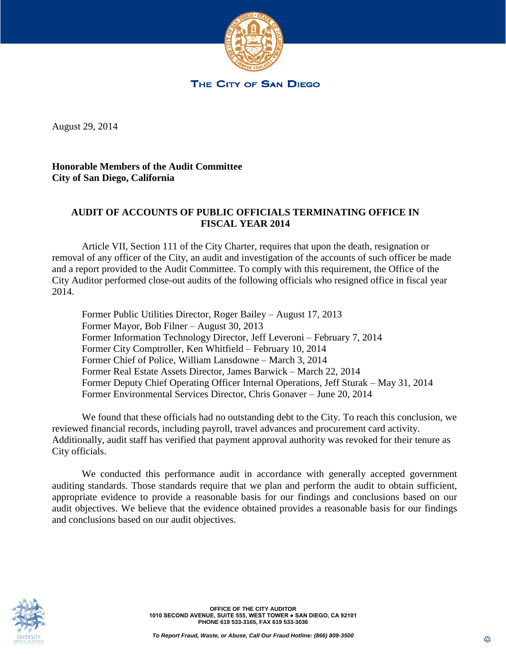

THE CITY OF SAN DIEGO

August 29, 2014

August 29, 2014

**Honorable Members of the Audit Committee City of San Diego, California**

## **AUDIT OF ACCOUNTS OF PUBLIC OFFICIALS TERMINATING OFFICE IN FISCAL YEAR 2014**

Article VII, Section 111 of the City Charter, requires that upon the death, resignation or removal of any officer of the City, an audit and investigation of the accounts of such officer be made and a report provided to the Audit Committee. To comply with this requirement, the Office of the City Auditor performed close-out audits of the following officials who resigned office in fiscal year 2014.

Former Public Utilities Director, Roger Bailey – August 17, 2013 Former Mayor, Bob Filner – August 30, 2013 Former Information Technology Director, Jeff Leveroni – February 7, 2014 Former City Comptroller, Ken Whitfield – February 10, 2014 Former Chief of Police, William Lansdowne – March 3, 2014 Former Real Estate Assets Director, James Barwick – March 22, 2014 Former Deputy Chief Operating Officer Internal Operations, Jeff Sturak – May 31, 2014 Former Environmental Services Director, Chris Gonaver – June 20, 2014

We found that these officials had no outstanding debt to the City. To reach this conclusion, we reviewed financial records, including payroll, travel advances and procurement card activity. Additionally, audit staff has verified that payment approval authority was revoked for their tenure as City officials.

We conducted this performance audit in accordance with generally accepted government auditing standards. Those standards require that we plan and perform the audit to obtain sufficient, appropriate evidence to provide a reasonable basis for our findings and conclusions based on our audit objectives. We believe that the evidence obtained provides a reasonable basis for our findings and conclusions based on our audit objectives.



**OFFICE OF THE CITY AUDITOR 1010 SECOND AVENUE, SUITE 555, WEST TOWER ● SAN DIEGO, CA 92101 PHONE 619 533-3165, FAX 619 533-3036**